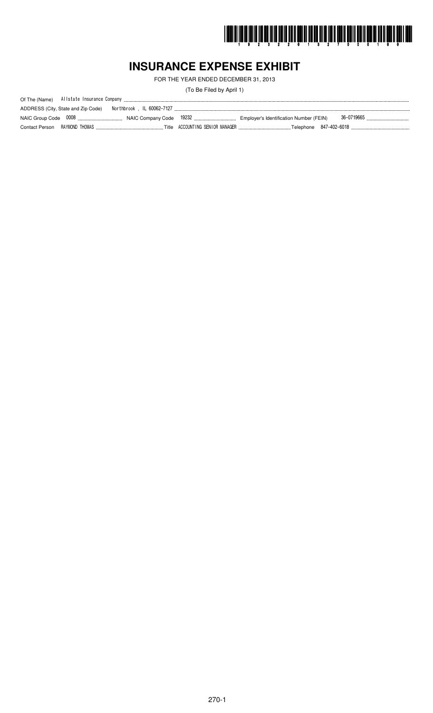

# **INSURANCE EXPENSE EXHIBIT**

FOR THE YEAR ENDED DECEMBER 31, 2013

(To Be Filed by April 1)

| ADDRESS (City, State and Zip Code) |  |  |
|------------------------------------|--|--|
|                                    |  |  |
|                                    |  |  |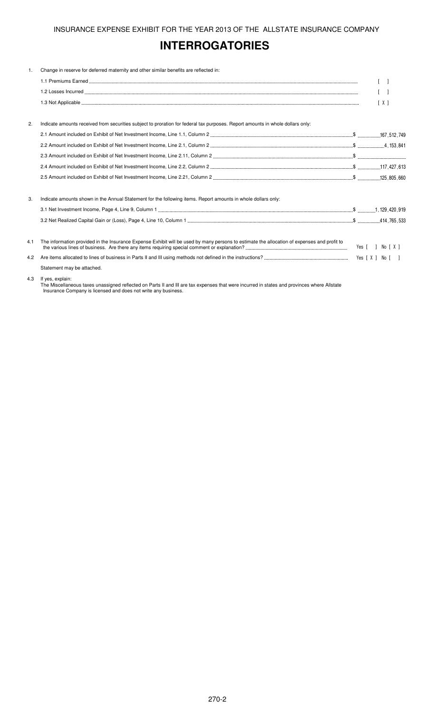# **INTERROGATORIES**

| $\mathbf{1}$ . | Change in reserve for deferred maternity and other similar benefits are reflected in:                                                       |     |
|----------------|---------------------------------------------------------------------------------------------------------------------------------------------|-----|
|                |                                                                                                                                             |     |
|                |                                                                                                                                             |     |
|                |                                                                                                                                             | [X] |
|                |                                                                                                                                             |     |
| 2.             | Indicate amounts received from securities subject to proration for federal tax purposes. Report amounts in whole dollars only:              |     |
|                |                                                                                                                                             |     |
|                |                                                                                                                                             |     |
|                |                                                                                                                                             |     |
|                |                                                                                                                                             |     |
|                |                                                                                                                                             |     |
| 3.             | Indicate amounts shown in the Annual Statement for the following items. Report amounts in whole dollars only:                               |     |
|                |                                                                                                                                             |     |
|                |                                                                                                                                             |     |
| 4.1            | The information provided in the Insurance Expense Exhibit will be used by many persons to estimate the allocation of expenses and profit to |     |
| 4.2            |                                                                                                                                             |     |
|                | Statement may be attached.                                                                                                                  |     |

#### 4.3 If yes, explain:

The Miscellaneous taxes unassigned reflected on Parts II and III are tax expenses that were incurred in states and provinces where Allstate Insurance Company is licensed and does not write any business.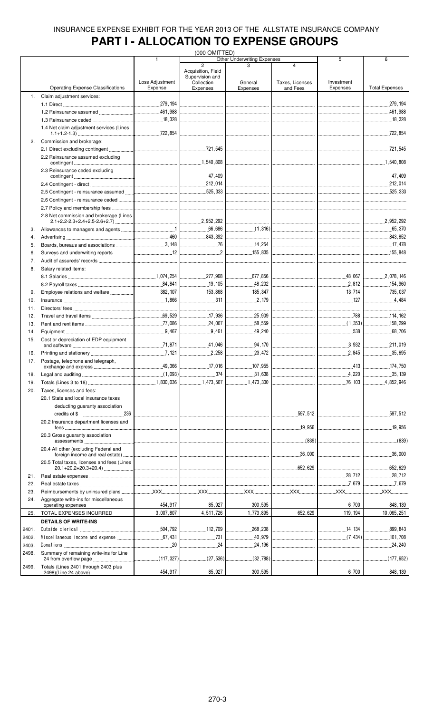# **PART I - ALLOCATION TO EXPENSE GROUPS**

|       |                                            |                                  | (000 OMITTED)                         |                                    |                         |              |                               |
|-------|--------------------------------------------|----------------------------------|---------------------------------------|------------------------------------|-------------------------|--------------|-------------------------------|
|       |                                            | $\overline{1}$                   |                                       | <b>Other Underwriting Expenses</b> |                         | 5            | 6                             |
|       |                                            |                                  | $\overline{2}$                        |                                    | $\overline{\mathbf{A}}$ |              |                               |
|       |                                            |                                  | Acquisition, Field<br>Supervision and |                                    |                         |              |                               |
|       |                                            | Loss Adjustment                  | Collection                            | General                            | Taxes, Licenses         | Investment   |                               |
|       | <b>Operating Expense Classifications</b>   | Expense                          | Expenses                              | Expenses                           | and Fees                | Expenses     | <b>Total Expenses</b>         |
| 1.    | Claim adjustment services:                 |                                  |                                       |                                    |                         |              |                               |
|       |                                            |                                  |                                       |                                    |                         |              |                               |
|       |                                            |                                  |                                       |                                    |                         |              |                               |
|       |                                            |                                  |                                       |                                    |                         |              |                               |
|       |                                            |                                  |                                       |                                    |                         |              | L18,328                       |
|       | 1.4 Net claim adjustment services (Lines   |                                  |                                       |                                    |                         |              |                               |
|       |                                            |                                  |                                       |                                    |                         |              |                               |
| 2.    | Commission and brokerage:                  |                                  |                                       |                                    |                         |              |                               |
|       |                                            |                                  |                                       |                                    |                         |              |                               |
|       | 2.2 Reinsurance assumed excluding          |                                  |                                       |                                    |                         |              |                               |
|       |                                            |                                  |                                       |                                    |                         |              |                               |
|       | 2.3 Reinsurance ceded excluding            |                                  |                                       |                                    |                         |              |                               |
|       | $\sim$ 27,409                              |                                  |                                       |                                    |                         |              |                               |
|       |                                            |                                  |                                       |                                    |                         |              |                               |
|       |                                            |                                  |                                       |                                    |                         |              |                               |
|       |                                            |                                  |                                       |                                    |                         |              |                               |
|       |                                            |                                  |                                       |                                    |                         |              |                               |
|       |                                            |                                  |                                       |                                    |                         |              |                               |
|       | 2.8 Net commission and brokerage (Lines    |                                  |                                       |                                    |                         |              |                               |
|       |                                            |                                  |                                       |                                    |                         |              |                               |
| 3.    |                                            |                                  |                                       |                                    |                         |              |                               |
|       |                                            |                                  |                                       |                                    |                         |              |                               |
| 4.    |                                            |                                  |                                       | ------------------------------     |                         |              | 843.852                       |
| 5.    |                                            |                                  |                                       | 14,254                             |                         |              | 17,478                        |
| 6.    |                                            |                                  |                                       |                                    |                         |              |                               |
| 7.    |                                            |                                  |                                       |                                    |                         |              |                               |
| 8.    |                                            |                                  |                                       |                                    |                         |              |                               |
|       | Salary related items:                      |                                  |                                       |                                    |                         |              |                               |
|       |                                            |                                  |                                       |                                    |                         |              |                               |
|       |                                            |                                  |                                       |                                    |                         |              |                               |
| 9.    |                                            |                                  | 153,868                               | 185,347                            |                         |              | 735,037                       |
| 10.   |                                            |                                  |                                       |                                    |                         | 127          | 4,484                         |
|       |                                            |                                  |                                       |                                    |                         |              |                               |
| 11.   |                                            |                                  | -------------------------------       |                                    |                         |              | ----------------------------- |
| 12.   |                                            |                                  | 17,936                                |                                    |                         |              | 114.162                       |
| 13.   |                                            |                                  |                                       | 58,559                             |                         |              | 158.299                       |
| 14.   |                                            |                                  | 9,461                                 | .49,240<br>.                       |                         | $ $ 538      | 68,706<br>                    |
| 15.   | Cost or depreciation of EDP equipment      |                                  |                                       |                                    |                         |              |                               |
|       |                                            |                                  | $\frac{41,046}{\frac{300}{200}}$      | 94.170                             |                         |              | 211,019                       |
| 16.   |                                            |                                  | .2,258<br>.                           | .23,472<br>.                       |                         | 2.845        | .35,695<br>.                  |
|       |                                            |                                  |                                       |                                    |                         |              |                               |
| 17.   | Postage, telephone and telegraph,          | .49,366                          | 17,016                                | 107,955                            |                         | .413         | 174,750                       |
|       | exchange and express.                      |                                  |                                       |                                    |                         |              |                               |
| 18.   |                                            |                                  | .374                                  | .31,638<br>.                       |                         |              | 35,139                        |
| 19.   |                                            |                                  | 1,473,507                             | 1,473,300                          |                         | .76,103<br>. | .4,852,946                    |
| 20.   | Taxes, licenses and fees:                  |                                  |                                       |                                    |                         |              |                               |
|       | 20.1 State and local insurance taxes       |                                  |                                       |                                    |                         |              |                               |
|       |                                            |                                  |                                       |                                    |                         |              |                               |
|       | deducting guaranty association             |                                  |                                       |                                    |                         |              |                               |
|       |                                            |                                  |                                       |                                    |                         |              | 597,512                       |
|       | 20.2 Insurance department licenses and     |                                  |                                       |                                    |                         |              |                               |
|       |                                            | -------------------------------- |                                       |                                    |                         |              | .19,956<br>.                  |
|       | 20.3 Gross guaranty association            |                                  |                                       |                                    |                         |              |                               |
|       |                                            |                                  |                                       |                                    |                         |              |                               |
|       | 20.4 All other (excluding Federal and      |                                  |                                       |                                    |                         |              |                               |
|       |                                            |                                  |                                       |                                    |                         |              | 36,000<br>.                   |
|       | 20.5 Total taxes, licenses and fees (Lines |                                  |                                       |                                    |                         |              |                               |
|       |                                            |                                  |                                       |                                    |                         |              | .652,629<br>.                 |
| 21.   |                                            |                                  |                                       |                                    |                         |              |                               |
| 22.   |                                            |                                  |                                       |                                    |                         |              |                               |
|       |                                            |                                  |                                       |                                    |                         |              |                               |
| 23.   |                                            |                                  |                                       |                                    |                         |              | <b>XXX</b>                    |
| 24.   | Aggregate write-ins for miscellaneous      |                                  |                                       |                                    |                         |              |                               |
|       | operating expenses                         | 454,917                          | 85,927                                | 300,595                            |                         | 6,700        | 848, 139                      |
| 25.   | TOTAL EXPENSES INCURRED                    | 3,007,807                        | 4,511,726                             | 1,773,895                          | 652,629                 | 119, 194     | 10,065,251                    |
|       | <b>DETAILS OF WRITE-INS</b>                |                                  |                                       |                                    |                         |              |                               |
| 2401. |                                            |                                  | 112,709                               | 268,208<br>.                       |                         |              | .899,843                      |
|       |                                            |                                  | $\sim$ 731                            | .40,979                            |                         | (7, 434)     |                               |
| 2402. |                                            |                                  |                                       |                                    |                         |              | .101,708                      |
| 2403. |                                            |                                  | 24                                    | .24,196                            |                         |              | .24,240                       |
| 2498. | Summary of remaining write-ins for Line    |                                  |                                       |                                    |                         |              |                               |
|       |                                            |                                  |                                       |                                    |                         |              |                               |
| 2499. | Totals (Lines 2401 through 2403 plus       |                                  |                                       |                                    |                         |              |                               |
|       | 2498)(Line 24 above)                       | 454,917                          | 85,927                                | 300,595                            |                         | 6,700        | 848, 139                      |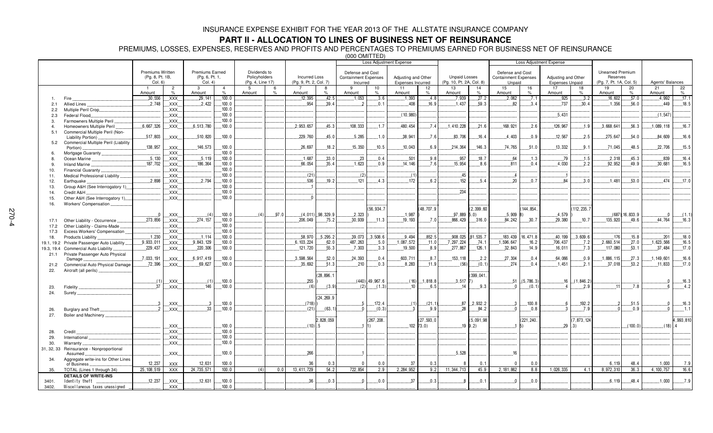### **PART II - ALLOCATION TO LINES OF BUSINESS NET OF REINSURANCE**

PREMIUMS, LOSSES, EXPENSES, RESERVES AND PROFITS AND PERCENTAGES TO PREMIUMS EARNED FOR BUSINESS NET OF REINSURANCE

|                |                                          |                         |                                   |                        |                        |                  |           |                        |                    | $000$ $01011$ $111$         |                  | Loss Adjustment Expense |                |                          |               |                             |              | Loss Adjustment Expense |                     |                         |                 |                         |                |
|----------------|------------------------------------------|-------------------------|-----------------------------------|------------------------|------------------------|------------------|-----------|------------------------|--------------------|-----------------------------|------------------|-------------------------|----------------|--------------------------|---------------|-----------------------------|--------------|-------------------------|---------------------|-------------------------|-----------------|-------------------------|----------------|
|                |                                          |                         |                                   |                        |                        |                  |           |                        |                    |                             |                  |                         |                |                          |               |                             |              |                         |                     |                         |                 |                         |                |
|                |                                          | <b>Premiums Written</b> |                                   | <b>Premiums Earned</b> |                        | Dividends to     |           |                        |                    | Defense and Cost            |                  |                         |                |                          |               | Defense and Cost            |              |                         |                     | <b>Unearned Premium</b> |                 |                         |                |
|                |                                          | (Pg. 8, Pt. 1B,         |                                   | (Pg. 6, Pt. 1,         |                        | Policyholders    |           | <b>Incurred Loss</b>   |                    | <b>Containment Expenses</b> |                  | Adjusting and Other     |                | <b>Unpaid Losses</b>     |               | <b>Containment Expenses</b> |              | Adjusting and Other     |                     | Reserves                |                 |                         |                |
|                |                                          | Col. 6)                 |                                   | Col. 4)                |                        | (Pg. 4, Line 17) |           | (Pg. 9, Pt. 2, Col. 7) |                    | Incurred                    |                  | Expenses Incurred       |                | (Pg. 10, Pt. 2A, Col. 8) |               | Unpaid                      |              | <b>Expenses Unpaid</b>  |                     | (Pg. 7, Pt. 1A, Col. 5) |                 | Agents' Balances        |                |
|                |                                          | Amount                  | $\overline{2}$<br>$\%$            | 3<br>Amount            | $\overline{4}$<br>$\%$ | 5<br>Amount      | 6<br>$\%$ | Amount                 | 8<br>$O_{\Lambda}$ | 9<br>Amount                 | 10<br>$\%$       | 11<br>Amount            | 12<br>$\%$     | 13<br>Amount             | 14<br>$\%$    | 15<br>Amount                | 16<br>$\%$   | 17<br>Amount            | 18<br>$\%$          | 19<br>Amount            | 20<br>$\%$      | 21<br>Amount            | 22<br>$\%$     |
| 1.             | Fire                                     | .30,556                 | .XXX.                             | 29.141                 | 100.0                  |                  |           | 12.395                 | 42.5               | .1,053                      | .3.6             | 1,393                   | 4.8            | 7,939                    | .27.2         | 2.062                       | .7.1         | .925                    | 3.2                 | .16,602                 | .57.0           | 4.992                   | .17.1          |
| 2.1            | Allied Lines                             | .2,748                  | $\overline{X}$ XXX.               | 2.422                  | .100.0                 |                  |           | 954                    | .39.4              | っ                           | 0.1              | 408                     | 16.9           | 1.437                    | .59.3         | 82                          | .3.4         | .737                    | 30.4                | .1.356                  | .56.0           | 449                     | .18.5          |
| 2.2            | Multiple Peril Crop                      |                         | $\overline{X}$ XXX.               |                        | 100.0                  |                  |           |                        |                    |                             |                  |                         |                |                          |               |                             |              |                         |                     |                         |                 |                         |                |
| 2.3            | Federal Flood                            |                         | XXX.                              |                        | 100.0                  |                  |           |                        |                    |                             |                  | (10, 980)               |                |                          |               |                             |              | .5.431                  |                     |                         |                 | (1, 547)                |                |
| 3.             | Farmowners Multiple Peril                |                         | XXX.                              |                        | .100.0                 |                  |           |                        |                    |                             |                  |                         |                |                          |               |                             |              |                         |                     |                         |                 |                         |                |
| $\overline{a}$ | Homeowners Multiple Peril                | .6,667,326              | XXX.                              | .6,513,780             | .100.0                 |                  |           | 2.953.657              | 45.3               | 108,333                     | .1.7             | 480,454                 | .7.4           | .1,410,228               | .21.6         | 168,921                     | .2.6         | 126,967                 | .1.9                | .3,668,641              | .56.3           | 1,089,118               | .16.7          |
| 5.1            | Commercial Multiple Peril (Non-          |                         |                                   |                        |                        |                  |           |                        |                    |                             |                  |                         |                |                          |               |                             |              |                         |                     |                         |                 |                         |                |
|                | Liability Portion)                       | 517,803                 | XXX.                              | .510,820               | 100.0                  |                  |           | .229,760               | 45.0               | .5,285                      | 1.0              | 38,941                  | 7.6            | 83,706                   | 16.4          | 4.403                       | 0.9          | .12,567                 | .2.5                | 275,647                 | 54.0            | 84.609                  | 16.6           |
| 5.2            | Commercial Multiple Peril (Liability     |                         |                                   |                        |                        |                  |           |                        |                    |                             |                  |                         |                |                          |               |                             |              |                         |                     |                         |                 |                         |                |
|                | Portion).                                | 138,957                 | .XXX.                             | 146,573                | .100.0                 |                  |           | 26,697                 | 18.2               | .15.350                     | .10.5            | .10,043                 | 6.9            | 214,364                  | .146.3        | .74,765                     | .51.0        | .13,332                 | .9.1                | .71,045                 | 48.5            | 22,706                  | .15.5          |
|                | Mortgage Guaranty                        |                         | XXX.                              |                        | 100.0                  |                  |           |                        |                    |                             |                  |                         |                |                          |               |                             |              |                         |                     |                         |                 |                         |                |
|                | Ocean Marine                             | .5.130                  | $\overline{X}$ XXX.               | .5.119                 | .100.0                 |                  |           | .1,687                 | 33.0               | .23                         | .0.4             | .501                    | .9.8           | .957                     | .18.7         | .64                         | .1.3         | .79                     | .1.5                | .2.318                  | .45.3           | .839                    | .16.4          |
|                | <b>Inland Marine</b>                     | .187,702                | $\mathsf{XXX}$                    | 186,364                | 100.0                  |                  |           | .66,054                | 35.4               | .1.623                      | 0.9              | 14, 146                 | .7.6           | 15,954                   | 8.6           | .811                        | 0.4          | 4,030                   | .2.2                | 92,952                  | 49.9            | .30,681                 | .16.5          |
| 10.            | Financial Guaranty                       |                         | XXX                               |                        | .100.0                 |                  |           |                        |                    |                             |                  |                         |                |                          |               |                             |              |                         |                     |                         |                 |                         |                |
| 11.            | Medical Professional Liability           |                         | XXX.                              |                        | .100.0                 |                  |           | (21)                   |                    | (2)                         |                  | (1)                     |                | .45                      |               | - 4                         |              |                         |                     |                         |                 |                         |                |
| 12.            | Earthquake                               | .2,898                  | .XXX.                             | .2,794                 | .100.0                 |                  |           | .536                   | .19.2              | . 121                       | .4.3             | . 172                   | 6.2            | .152                     | .5.4          | .20                         | .0.7         | .84                     | 3.0                 | .1.481                  | .53.0           | .474                    | .17.0          |
| 13.            | Group A&H (See Interrogatory 1)          |                         | XXX.                              |                        | 100.0                  |                  |           |                        |                    |                             |                  |                         |                |                          |               |                             |              |                         |                     |                         |                 |                         |                |
| 14.            | Credit A&H                               |                         | XXX.                              |                        | 100.0                  |                  |           |                        |                    |                             |                  |                         |                | .234                     |               |                             |              |                         |                     |                         |                 |                         |                |
| 15.            | Other A&H (See Interrogatory 1)          |                         | XXX.                              |                        | 100.0                  |                  |           | $\Omega$               |                    |                             |                  |                         |                |                          |               |                             |              |                         |                     |                         |                 |                         |                |
| 16.            | Workers' Compensation                    |                         |                                   |                        |                        |                  |           |                        |                    |                             |                  |                         |                |                          |               |                             |              |                         |                     |                         |                 |                         |                |
|                |                                          |                         |                                   |                        |                        |                  |           |                        |                    |                             | (56, 934.7)      |                         | (48, 707.9)    |                          | (2.399.60)    |                             | 144.854.     |                         | (112, 235.7)        |                         |                 |                         |                |
|                |                                          | $\overline{\mathbf{0}}$ | XXX.                              | (4)                    | 100.0                  | (4)              | 97.0      |                        | $(4,011)$ 98,329.9 | 2,323                       |                  | 1,987                   |                | $97,889$ $5.0$ )         |               | $.5,909$ 8                  |              | .4.579                  |                     |                         | (687) 16, 833.9 | $\mathbf{0}$            | (1.1)          |
| 17.1           | Other Liability - Occurrence.            | .273,856                | XXX.                              | 274.157                | .100.0                 |                  |           | .206.049               | .75.2              | .30,939                     | .11.3            | 19, 193                 | .7.0           | .866,429                 | 316.0         | 84,242                      | .30.7        | .29,380                 | .10.7               | 135,920                 | .49.6           | 44,764                  | .16.3          |
| 17.2           | Other Liability - Claims-Made            |                         | XXX.                              |                        | .100.0                 |                  |           |                        |                    |                             |                  |                         |                |                          |               |                             |              |                         |                     |                         |                 |                         |                |
| 17.3           | Excess Workers' Compensation             |                         | .XXX.                             |                        | 100.0                  |                  |           |                        |                    |                             |                  |                         |                |                          |               |                             |              |                         |                     |                         |                 |                         |                |
| 18.            | Products Liability.                      | .1,230                  | .XXX.                             | .1.114                 | .100.0                 |                  |           | .58,970                | .5.295.2           | .39,073                     | .3,508.6         | .9,494                  | .852.5         | .908,025                 | 81,535.7      | 183,439                     | 16.471.8     | .40,199                 | .3,609.6            | 176                     | .15.8           | .201                    | .18.0          |
| 19.1, 19.2     | Private Passenger Auto Liability         | .9.933.011              | .XXX.                             | .9.843.129             | 100.0                  |                  |           | 6, 103, 224            | 62.0               | 487, 263                    | .5.0             | .1,087,572              | .11.0          | 7,297,224                | .74.1         | 1,596,647                   | .16.2        | .706,437                | .7.2                | .2,660,514              | .27.0           | 1,623,566               | .16.5          |
| 19.3, 19.4     | Commercial Auto Liability                | .229,437                | $\overline{X}$ XXX.               | .220,306               | .100.0                 |                  |           | 121,720                | 55.3               | .7.303                      | .3.3             | .19,500                 | .8.9           | 277.867                  | .126.1        | .32.843                     | $.14.9$      | .16,011                 | 7.3                 | 117,080                 | .53.1           | 37.484                  | .17.0          |
| 21.1           | Private Passenger Auto Physical          |                         |                                   | .6,917,419             |                        |                  |           |                        |                    |                             |                  |                         |                |                          |               |                             |              |                         |                     |                         |                 |                         |                |
|                | Damage                                   | .7,033,191              | XXX.                              | .69.627                | .100.0<br>100.0        |                  |           | .3,598,564<br>.35,692  | 52.0<br>.51.3      | .24,393<br>.210             | .0.4<br>.0.3     | 603,711<br>.8,283       | .8.7           | 153, 118                 | .2.2<br>(0.1) | .27.304<br>274              | .0.4<br>.0.4 | .64,066<br>.1.451       | .0.9<br>.2.1        | .1,886,115<br>37,018    | .27.3           | .1, 149, 601<br>.11.833 | .16.6<br>.17.0 |
| 21.2           | Commercial Auto Physical Damage          | 72,396                  | .XXX.                             |                        |                        |                  |           |                        |                    |                             |                  |                         | .11.9          | (56)                     |               |                             |              |                         |                     |                         | .53.2           |                         |                |
| 22.            | Aircraft (all perils)                    |                         |                                   |                        |                        |                  |           |                        | (28, 896.1)        |                             |                  |                         |                |                          | 399,041.      |                             |              |                         |                     |                         |                 |                         |                |
|                |                                          | (1)                     |                                   | (1)                    | 100.0                  |                  |           | 255                    |                    |                             | $(440)$ 49.967.6 |                         | $(16)$ 1.818.8 | $3.517$ 7)               |               | 51                          | (5.786.3)    | 16                      | (1.846.2)           |                         |                 | $\Omega$                | 16.3           |
|                | Fidelity                                 | 37                      | XXX.<br><b>XXX</b>                | 146                    | 100.0                  |                  |           | (6)                    | (3.9)              | (2)                         | (1.3)            | 10                      | 6.5            | 14                       | 9.3           | $\Omega$                    | (0.1)        | $\mathbf{A}$            | 2.9                 | 11                      | .7.8            | - 6                     | 4.2            |
| 23.            |                                          |                         |                                   |                        |                        |                  |           |                        |                    |                             |                  |                         |                |                          |               |                             |              |                         |                     |                         |                 |                         |                |
| 24.            | Surety                                   |                         |                                   |                        |                        |                  |           |                        | (24, 269.9)        |                             |                  |                         |                |                          |               |                             |              |                         |                     |                         |                 |                         |                |
|                |                                          | $\cdot$ .3              | XXX.                              | 3                      | .100.0                 |                  |           | (718)                  |                    | 5                           | .172.4           | (1)                     | (21.1)         | .87                      | .2,932.2      | 3                           | .100.8       |                         | .192.2              |                         | .51.5           | $\Omega$                | .16.3          |
| 26.            | Burglary and Theft                       | $\overline{2}$          | XXX.                              | .33                    | .100.0                 |                  |           | (21)                   | (63.1)             |                             | (0.3)            |                         | .9.9           | .28                      | .84.2         | $\Omega$                    | 0.8          |                         | .7.9                |                         | .0.9            | $\Omega$                | 1.1            |
| 27.            | <b>Boiler and Machinery</b>              |                         |                                   |                        |                        |                  |           |                        |                    |                             |                  |                         |                |                          |               |                             |              |                         |                     |                         |                 |                         |                |
|                |                                          |                         |                                   |                        |                        |                  |           |                        | 2,828,059          |                             | (267, 208.       |                         | (27, 593, 0    |                          | (5.091.98)    |                             | (221, 240.   |                         | (7, 873, 124)       |                         |                 |                         | 4,993,810      |
|                |                                          |                         | XXX.                              |                        | 100.0                  |                  |           | $(10)$ .5              |                    |                             |                  |                         | $102$ 73.0)    |                          | $.19$ 9.2)    |                             | $\vert 5)$   | 29                      | $\langle 3 \rangle$ |                         | (100.0)         | (18)                    |                |
| 28.            | Credit                                   |                         | $\overline{.}$ XXX $\overline{.}$ |                        | 100.0                  |                  |           |                        |                    |                             |                  |                         |                |                          |               |                             |              |                         |                     |                         |                 |                         |                |
| 29.            | International                            |                         | XXX.                              |                        | 100.0                  |                  |           |                        |                    |                             |                  |                         |                |                          |               |                             |              |                         |                     |                         |                 |                         |                |
| 30.            | Warranty                                 |                         | XXX.                              |                        | .100.0                 |                  |           |                        |                    |                             |                  |                         |                |                          |               |                             |              |                         |                     |                         |                 |                         |                |
|                | 31, 32, 33 Reinsurance - Nonproportional |                         |                                   |                        |                        |                  |           |                        |                    |                             |                  |                         |                |                          |               |                             |              |                         |                     |                         |                 |                         |                |
|                | Assumed                                  |                         | $\overline{X}$ XXX                |                        | 100.0                  |                  |           | 266                    |                    |                             |                  |                         |                | .5,528                   |               | <b>.16</b>                  |              |                         |                     |                         |                 |                         |                |
| 34.            | Aggregate write-ins for Other Lines      |                         |                                   |                        |                        |                  |           |                        |                    |                             |                  |                         |                |                          |               |                             |              |                         |                     |                         |                 |                         |                |
|                | of Business                              | 12,237                  | <b>XXX</b>                        | 12,631                 | 100.0                  |                  |           | 36                     | 0.3                | $\Omega$                    | 0.0              | 37                      | 0.3            | -8                       | 0.1           | $\Omega$                    | 0.0          |                         |                     | 6,119                   | 48.4            | 1,000                   | 7.9            |
| 35.            | TOTAL (Lines 1 through 34)               | 25, 108, 519            | <b>XXX</b>                        | 24,735,571             | 100.0                  | (4)              | 0.0       | 13,411,729             | 54.2               | 722,854                     | 2.9              | 2,284,952               | 9.2            | 11, 344, 713             | 45.9          | 2, 181, 862                 | 8.8          | 1,026,335               | 4.1                 | 8,972,310               | 36.3            | 4, 100, 757             | 16.6           |
|                | <b>DETAILS OF WRITE-INS</b>              |                         |                                   |                        |                        |                  |           |                        |                    |                             |                  |                         |                |                          |               |                             |              |                         |                     |                         |                 |                         |                |
| 3401.          | Identity theft                           | .12.237                 | XXX                               | .12.631                | 100.0                  |                  |           | 36                     | 0.3                | $\Omega$                    | 0.0              | 37                      | 0.3            | R                        | 0.1           | $\Omega$                    | 0.0          |                         |                     | 6.119                   | 48.4            | .1,000                  | 7.9            |
| 3402.          | Miscellaneous taxes unassigned           |                         | <b>XXX</b>                        |                        | 100.0                  |                  |           |                        |                    |                             |                  |                         |                |                          |               |                             |              |                         |                     |                         |                 |                         |                |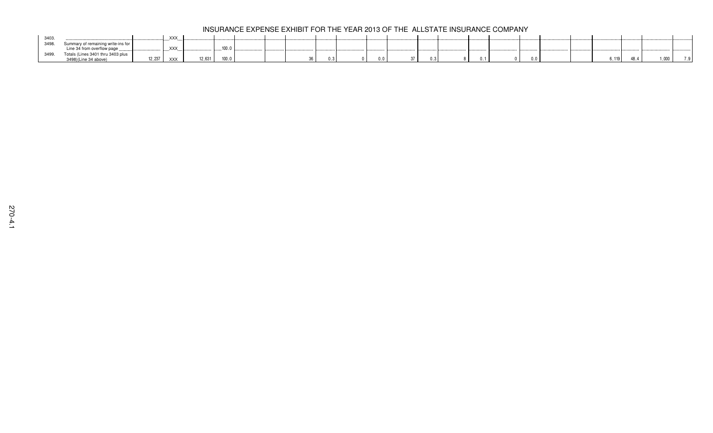|      |                                    |        | <b>XXX</b> |        |                  |  |     |  |  |  |     |            |       |      |      |
|------|------------------------------------|--------|------------|--------|------------------|--|-----|--|--|--|-----|------------|-------|------|------|
| 3498 | Summary of remaining write-ins for |        |            |        |                  |  |     |  |  |  |     |            |       |      |      |
|      | Line 34 from overflow page         |        | .XXX.      |        | 100 <sub>1</sub> |  |     |  |  |  |     |            |       |      |      |
|      | Totals (Lines 3401 thru 3403 plus  |        |            |        |                  |  |     |  |  |  |     |            |       |      |      |
|      | 3498)(Line 34 above)               | 12,237 | XXX        | 12.631 | 100.0            |  | ບ.ບ |  |  |  | 0.0 | R 119<br>. | 10. T | .000 | 7.91 |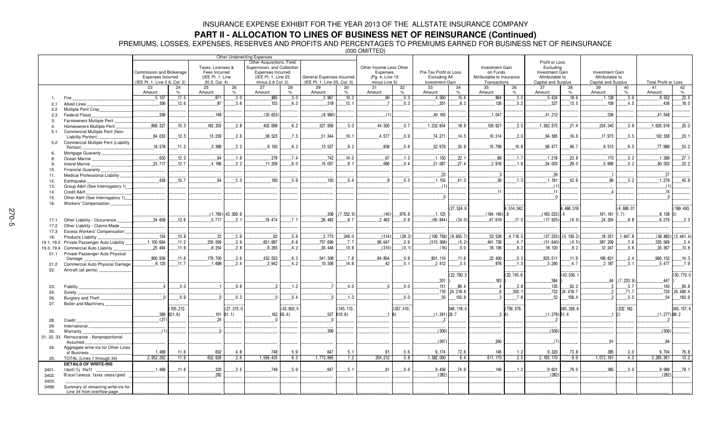## **PART II - ALLOCATION TO LINES OF BUSINESS NET OF REINSURANCE (Continued)**

PREMIUMS, LOSSES, EXPENSES, RESERVES AND PROFITS AND PERCENTAGES TO PREMIUMS EARNED FOR BUSINESS NET OF REINSURANCE

|                      |                                                               |                                                      |                     | Taxes, Licenses &                 |                      | Other Underwriting Expenses<br>Other Acquisitions, Field<br>Supervision, and Collection |                     |                              |                     | Other Income Less Other     |                     |                                         |                            | <b>Investment Gain</b>                |                | Profit or Loss<br>Excluding               |                   |                                           |              |                             |                   |
|----------------------|---------------------------------------------------------------|------------------------------------------------------|---------------------|-----------------------------------|----------------------|-----------------------------------------------------------------------------------------|---------------------|------------------------------|---------------------|-----------------------------|---------------------|-----------------------------------------|----------------------------|---------------------------------------|----------------|-------------------------------------------|-------------------|-------------------------------------------|--------------|-----------------------------|-------------------|
|                      |                                                               | Commission and Brokerage<br><b>Expenses Incurred</b> |                     | Fees Incurred<br>(IEE Pt. 1, Line |                      | Expenses Incurred<br>(IEE Pt. 1, Line 25                                                |                     | General Expenses Incurred    |                     | Expenses<br>(Pg. 4, Line 15 |                     | Pre-Tax Profit or Loss<br>Excluding All |                            | on Funds<br>Attributable to Insurance |                | <b>Investment Gain</b><br>Attributable to |                   | <b>Investment Gain</b><br>Attributable to |              |                             |                   |
|                      |                                                               | (IEE Pt. 1, Line 2.8, Col. 2)                        |                     | 20.5, Col. 4)                     |                      | minus 2.8 Col. 2)                                                                       |                     | (IEE Pt. 1, Line 25, Col. 3) |                     | minus Line 5)               |                     | Investment Gain                         |                            | Transactions                          |                | Capital and Surplus                       |                   | Capital and Surplus                       |              | <b>Total Profit or Loss</b> |                   |
|                      |                                                               | 23<br>Amount                                         | 24<br>$\frac{1}{2}$ | 25<br>Amount                      | 26                   | 27<br>Amount                                                                            | 28<br>$\frac{1}{2}$ | 29<br>Amount                 | 30<br>$\frac{9}{6}$ | 31<br>Amount                | 32<br>$\frac{1}{2}$ | 33<br>Amount                            | 34<br>35<br>$\%$<br>Amount |                                       | 36             | 37<br>Amount                              | 38<br>$\%$        | 39<br>Amount                              | 40<br>$\%$   | 41<br>Amount                | 42<br>$\%$        |
|                      | Fire                                                          | .5.107                                               | .17.5               | .871                              | 3.0                  | .885                                                                                    | .3.0                | 2,967                        | .10.2               | .90                         | .0.3                | .4,560                                  | .15.6                      | 864                                   | .3.0           | .5,424                                    | .18.6             | .1,128                                    | .3.9         | .6,552                      | .22.5             |
| 2.1                  | Allied Lines                                                  | .306                                                 | .12.6               | .87                               | 3.6                  | 153                                                                                     | 6.3                 | .318                         | .13.1               | 7                           | 0.3                 | .201                                    | 8.3                        | 126                                   | 5.2            | .327                                      | 13.5              | 109                                       | 4.5          | .436                        | .18.0             |
| 2.2                  | Multiple Peril Crop                                           |                                                      |                     |                                   |                      |                                                                                         |                     |                              |                     |                             |                     |                                         |                            |                                       |                |                                           |                   |                                           |              |                             |                   |
| 2.3                  | Federal Flood.                                                | .309                                                 |                     | .148                              |                      | (20, 653)                                                                               |                     | (8,990)                      |                     | (1)                         |                     | .40, 165                                |                            | .1.047                                |                | .41,212                                   |                   | .336                                      |              | 41,548                      |                   |
| 3.<br>$\overline{4}$ | Farmowners Multiple Peril<br>Homeowners Multiple Peril        | .869,327                                             | 13.3                | 183,203                           | .2.8                 | 402,698                                                                                 | 6.2                 | 327,959                      | .5.0                | 44,505                      | .0.7                | 1,232,654                               | 18.9                       | .159,921                              | .2.5           | 1,392,575                                 | .21.4             | 234,340                                   | .3.6         | 1,626,916                   | 25.0              |
| 5.1                  | Commercial Multiple Peril (Non-                               |                                                      |                     |                                   |                      |                                                                                         |                     |                              |                     |                             |                     |                                         |                            |                                       |                |                                           |                   |                                           |              |                             |                   |
|                      | Liability Portion).                                           | 64,033                                               | .12.5               | 13,239                            | .2.6                 | .38,523                                                                                 | .7.5                | .51,344                      | .10.1               | .4.577                      | 0.9                 | .74.271                                 | .14.5                      | .10,314                               | .2.0           | .84.585                                   | .16.6             | 17,973                                    | .3.5         | 102,558                     | .20.1             |
| 5.2                  | Commercial Multiple Peril (Liability                          |                                                      |                     |                                   |                      |                                                                                         |                     |                              |                     |                             |                     |                                         |                            |                                       |                |                                           |                   |                                           |              |                             |                   |
|                      | Portion).<br>Mortgage Guaranty                                | .16,578                                              | .11.3               | .3,389                            | .2.3                 | .9,150                                                                                  | 6.2                 | 13,527                       | .9.2                | .839                        | 0.6                 | .52,678                                 | .35.9                      | .15,799                               | 10.8           | .68,477                                   | .46.7             | .9,513                                    | .6.5         | .77,989                     | .53.2             |
| -8.                  | Ocean Marine                                                  | .630                                                 | .12.3               | .94                               | .1.8                 | 379                                                                                     | .7.4                | .742                         | .14.5               | 67                          | .1.3                | .1.130                                  | .22.1                      | .89                                   | .1.7           | .1.219                                    | 23.8              | .170                                      | .3.3         | .1.389                      | .27.1             |
| -9                   | Inland Marine                                                 | .23.717                                              | .12.7               | 4.166                             | 2.2                  | .11,209                                                                                 | 6.0                 | 15.057                       | 8.1                 | .696                        | 0.4                 | .51,087                                 | .27.4                      | .2.916                                | .1.6           | .54,003                                   | 29.0              | 5.999                                     | 3.2          | 60.002                      | 32.2              |
| 10.                  | Financial Guaranty                                            |                                                      |                     |                                   |                      |                                                                                         |                     |                              |                     |                             |                     |                                         |                            |                                       |                |                                           |                   |                                           |              |                             |                   |
| 11.                  | Medical Professional Liability                                |                                                      |                     |                                   |                      |                                                                                         |                     |                              |                     |                             |                     | .23                                     |                            | $\cdot$ .3                            |                | .26                                       |                   |                                           |              | 27                          |                   |
| 12.                  | Earthquake                                                    | 439                                                  | .15.7               | 64                                | .2.3                 | 165                                                                                     | 5.9                 | 150                          | .5.4                |                             | 0.3                 | 1,155                                   | 41.3                       | 36                                    | 1.3            | .1.191                                    | 42.6              | .89                                       | 3.2          | 1,279                       | 45.8              |
| 13.<br>14.           | Group A&H (See Interrogatory 1).<br>Credit A&H                |                                                      |                     |                                   |                      |                                                                                         |                     |                              |                     |                             |                     | . (1                                    |                            | 11                                    |                | (1)                                       |                   |                                           |              | (1)<br>15                   |                   |
| 15.                  | Other A&H (See Interrogatory 1)                               |                                                      |                     |                                   |                      |                                                                                         |                     |                              |                     |                             |                     |                                         |                            |                                       |                |                                           |                   |                                           |              |                             |                   |
| 16.                  | <b>Workers' Compensation</b>                                  |                                                      |                     |                                   |                      |                                                                                         |                     |                              |                     |                             |                     |                                         |                            |                                       |                |                                           |                   |                                           |              |                             |                   |
|                      |                                                               |                                                      |                     |                                   |                      |                                                                                         |                     |                              |                     |                             |                     |                                         | 27,524.6                   |                                       | 4,514,042      |                                           | ,486,518          |                                           | (4,686,01)   |                             | 199,493.          |
|                      |                                                               |                                                      |                     |                                   | $(1, 769)$ 43, 369.9 |                                                                                         |                     | .308                         | (7, 552.9)          | (40)                        | 976.8               | .1.123                                  |                            | $(184, 146)$ .9                       |                | (183, 023)                                |                   | .191, 161                                 | 1.7)         | $.8,138$ 3)                 |                   |
| 17.1<br>17.2         | Other Liability - Occurrence<br>Other Liability - Claims-Made | .34,609                                              | .12.6               | .5.717                            | 2.1                  | .19.474                                                                                 | .7.1                | 26,483                       | .9.7                | 2,463                       | .0.9                | (65, 844)                               | (24.0)                     | 47,919                                | .17.5          | (17.925)                                  | (6.5)             | 24,204                                    | 8.8          | .6,279                      | 2.3               |
| 17.3                 | Excess Workers' Compensation.                                 |                                                      |                     |                                   |                      |                                                                                         |                     |                              |                     |                             |                     |                                         |                            |                                       |                |                                           |                   |                                           |              |                             |                   |
| 18.                  | Products Liability                                            | 154                                                  | .13.8               | .32                               | .2.9                 | .62                                                                                     | .5.6                | 2,773                        | .249.0              | (314)                       | (28.2)              | (109, 758)                              | 9,855.7                    | .52,526                               | 4,716.5        | (57, 233)                                 | (5, 139.2)        | .18,351                                   | 1,647.8      | (38, 882)                   | (3, 491.4)        |
| 19.1, 19.2           | Private Passenger Auto Liability                              | .1, 100, 694                                         | .11.2               | 255.009                           | .2.6                 | .651,687                                                                                | 6.6                 | .757.696                     | .7.7                | .86,647                     | .0.9                | (513.368)                               | (5.2)                      | 461,728                               | .4.7           | (51, 640)                                 | (0.5)             | .387.209                                  | .3.9         | .335.569                    | 3.4               |
| 19.3, 19.4           | Commercial Auto Liability                                     | .25.494                                              | .11.6               | .6.254                            | .2.8                 | .9.295                                                                                  | .4.2                | .30,446                      | .13.8               | (310)                       | (0.1)               | (16)                                    | $0.0$ .                    | .18, 136                              | 8.2            | .18, 120                                  | .8.2              | .12.247                                   | . 5.6        | .30,367                     | .13.8             |
| 21.1                 | Private Passenger Auto Physical<br>Damage                     | .800,936                                             | .11.6               | 179,700                           | .2.6                 | 432,553                                                                                 | 6.3                 | .541,308                     | .7.8                | .64,854                     | 0.9                 | .801,110                                | .11.6                      | 22,400                                | .0.3           | 823,511                                   | .11.9             | 166,621                                   | .2.4         | 990, 132                    | .14.3             |
| 21.2                 | Commercial Auto Physical Damage.                              | .8.125                                               | .11.7               | .1.698                            | 2.4                  | 2.942                                                                                   | .4.2                | .10.306                      | .14.8               | 42                          | .0.1                | 2.412                                   | .3.5                       | .878                                  | .1.3           | .3.290                                    | 4.7               | .2.187                                    | .3.1         | .5.477                      | .7.9              |
| 22.                  | Aircraft (all perils).                                        |                                                      |                     |                                   |                      |                                                                                         |                     |                              |                     |                             |                     |                                         |                            |                                       |                |                                           |                   |                                           |              |                             |                   |
|                      |                                                               |                                                      |                     |                                   |                      |                                                                                         |                     |                              |                     |                             |                     |                                         | 22,790.3                   |                                       | (20.745.8)     |                                           | 43.536.1          |                                           |              |                             | (50.770.0         |
|                      |                                                               | $\overline{4}$                                       |                     |                                   |                      |                                                                                         |                     |                              |                     |                             |                     | .201                                    |                            | 183                                   |                | .384                                      |                   | .64<br>-5                                 | (7, 233.9)   | 447                         |                   |
| 23.<br>24.           | Fidelity<br>Surety                                            |                                                      | .3.0                |                                   | .0.6                 |                                                                                         | .1.2                |                              | .4.5                |                             | 0.0                 | .131<br>.716                            | .89.4<br>24,218.6          |                                       | .2.8<br>.200.1 | 135<br>.722                               | .92.2<br>24,418.7 | - 2                                       | 3.7<br>.71.7 | 140<br>.724                 | .95.8<br>24,490.4 |
| 26.                  | Burglary and Theft                                            | $\Omega$                                             | .0.9                |                                   | 0.3                  |                                                                                         | 0.4                 | $\cap$                       | .1.3                |                             | .0.0                | 50                                      | 150.8                      |                                       | 7.6            | 52                                        | 158.4             |                                           | .5.5         | 54                          | 163.9             |
| 27.                  | Boiler and Machinery                                          |                                                      |                     |                                   |                      |                                                                                         |                     |                              |                     |                             |                     |                                         |                            |                                       |                |                                           |                   |                                           |              |                             |                   |
|                      |                                                               |                                                      | 105, 212,           |                                   | (27, 313, 0          |                                                                                         | (43, 803, 5)        |                              | 145, 113,           |                             | (357, 410.          |                                         | 346, 118, 0                | (758, 378.                            |                |                                           | 345, 359, 6       |                                           | (202, 162.   |                             | 345, 157, 4       |
|                      |                                                               |                                                      | 389 921.6)          |                                   | $.101$ 81.1)         |                                                                                         | $162$ 05.4)         |                              | 537 610.8           |                             | R)                  | $(1, 281)$ 29.7                         |                            |                                       |                | $(1,278)$ 51.4                            |                   |                                           | 2)           | $(1,277)$ 89.2              |                   |
| 28.                  | Credit.<br>International                                      | (27)                                                 |                     | 24                                |                      |                                                                                         |                     | $\Omega$                     |                     |                             |                     |                                         |                            |                                       |                |                                           |                   |                                           |              |                             |                   |
| 29.<br>30.           | Warranty                                                      | (1)                                                  |                     | - 0                               |                      |                                                                                         |                     | 309                          |                     |                             |                     | (309)                                   |                            |                                       |                | (309)                                     |                   |                                           |              | (309)                       |                   |
| 31, 32, 33           | Reinsurance - Nonproportional                                 |                                                      |                     |                                   |                      |                                                                                         |                     |                              |                     |                             |                     |                                         |                            |                                       |                |                                           |                   |                                           |              |                             |                   |
|                      | Assumed                                                       |                                                      |                     |                                   |                      |                                                                                         |                     |                              |                     |                             |                     | (267)                                   |                            | 260                                   |                | (7)                                       |                   | .91                                       |              | 84                          |                   |
| 34.                  | Aggregate write-ins for Other Lines<br>of Business            | 1,468                                                | 11.6                | 602                               | 4.8                  | 748                                                                                     | 5.9                 | 647                          | 5.1                 | 81                          | 0.6                 | 9,174                                   | 72.6                       | 146                                   | 1.2            | 9,320                                     | 73.8              | 385                                       | 3.0          | 9,704                       | 76.8              |
| 35.                  | TOTAL (Lines 1 through 34)                                    | 2,952,292                                            | 11.9                | 652,629                           | 2.6                  | 1,559,435                                                                               | 6.3                 | 1,773,895                    | 7.2                 | 204,212                     | 0.8                 | 1,582,000                               | 6.4                        | 611, 170                              | 2.5            | 2, 193, 170                               | 8.9               | 1,072,191                                 | 4.3          | 3,265,361                   | 13.2              |
|                      | <b>DETAILS OF WRITE-INS</b>                                   |                                                      |                     |                                   |                      |                                                                                         |                     |                              |                     |                             |                     |                                         |                            |                                       |                |                                           |                   |                                           |              |                             |                   |
| 3401.                | Identity theft                                                | .1,468                                               | .11.6               | .320                              | .2.5                 | 748                                                                                     | .5.9                | .647                         | .5.1                | .81                         | 0.6                 | .9.456                                  | .74.9                      | .146                                  | .1.2           | .9,601                                    | 76.0              | .385                                      | .3.0         | .9.986                      | .79.1             |
| 3402.                | Miscellaneous taxes unassigned                                |                                                      |                     | .282                              |                      |                                                                                         |                     |                              |                     |                             |                     | (282)                                   |                            |                                       |                | (282)                                     |                   |                                           |              | (282)                       |                   |
| 3403.<br>3498.       | Summary of remaining write-ins for                            |                                                      |                     |                                   |                      |                                                                                         |                     |                              |                     |                             |                     |                                         |                            |                                       |                |                                           |                   |                                           |              |                             |                   |
|                      | Line 34 from overflow page                                    |                                                      |                     |                                   |                      |                                                                                         |                     |                              |                     |                             |                     |                                         |                            |                                       |                |                                           |                   |                                           |              |                             |                   |
|                      |                                                               |                                                      |                     |                                   |                      |                                                                                         |                     |                              |                     |                             |                     |                                         |                            |                                       |                |                                           |                   |                                           |              |                             |                   |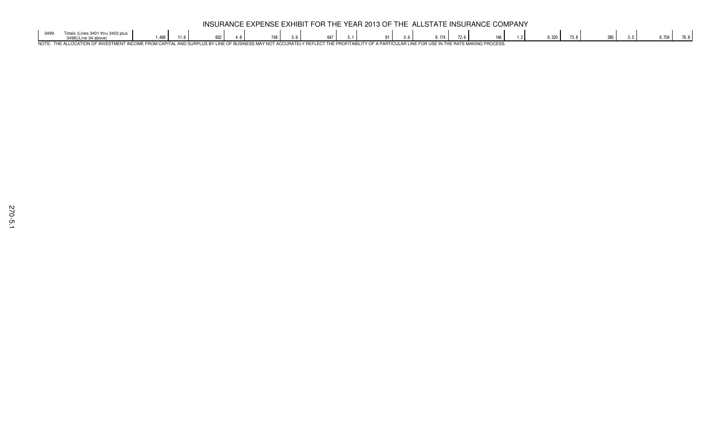|      |                                                                                                                                                                                              |      |  |  |  |     |  |  |            | INSURANCE EXPENSE EXHIBIT FOR THE YEAR 2013 OF THE ALLSTATE INSURANCE COMPANY |       |  |  |  |
|------|----------------------------------------------------------------------------------------------------------------------------------------------------------------------------------------------|------|--|--|--|-----|--|--|------------|-------------------------------------------------------------------------------|-------|--|--|--|
| 2AOC | Totals (Lines 3401 thru 3403 plus                                                                                                                                                            | .468 |  |  |  | 647 |  |  | $Q$ 17 $A$ |                                                                               | 9.320 |  |  |  |
|      | NOTE: THE ALLOCATION OF INVESTMENT INCOME FROM CAPITAL AND SURPLUS BY LINE OF BUSINESS MAY NOT ACCURATELY REFLECT THE PROFITABILITY OF A PARTICULAR LINE FOR USE IN THE RATE MAKING PROCESS. |      |  |  |  |     |  |  |            |                                                                               |       |  |  |  |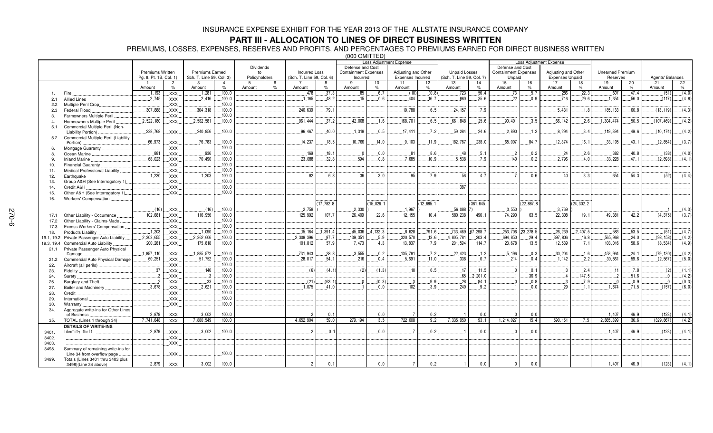### **PART III - ALLOCATION TO LINES OF DIRECT BUSINESS WRITTEN**

PREMIUMS, LOSSES, EXPENSES, RESERVES AND PROFITS, AND PERCENTAGES TO PREMIUMS EARNED FOR DIRECT BUSINESS WRITTEN

|                |                                                                  |                        |                        |                          |                  |               |                    |                           |                  |                             |            | <b>Loss Adjustment Expense</b> |          |                           |                   |                             |            | <b>Loss Adjustment Expense</b> |             |                         |            |                  |            |
|----------------|------------------------------------------------------------------|------------------------|------------------------|--------------------------|------------------|---------------|--------------------|---------------------------|------------------|-----------------------------|------------|--------------------------------|----------|---------------------------|-------------------|-----------------------------|------------|--------------------------------|-------------|-------------------------|------------|------------------|------------|
|                |                                                                  |                        |                        |                          |                  | Dividends     |                    |                           |                  | Defense and Cost            |            |                                |          |                           |                   | Defense and Cost            |            |                                |             |                         |            |                  |            |
|                |                                                                  | Premiums Written       |                        | <b>Premiums Earned</b>   |                  | to            |                    | <b>Incurred Loss</b>      |                  | <b>Containment Expenses</b> |            | Adjusting and Other            |          | <b>Unpaid Losses</b>      |                   | <b>Containment Expenses</b> |            | Adjusting and Other            |             | <b>Unearned Premium</b> |            |                  |            |
|                |                                                                  | Pa. 8. Pt. 1B. Col. 1) |                        | Sch. T. Line 59, Col. 3) |                  | Policyholders |                    | (Sch. T. Line 59, Col. 6) |                  | Incurred                    |            | Expenses Incurred              |          | (Sch. T, Line 59, Col. 7) |                   | Unpaid                      |            | <b>Expenses Unpaid</b>         |             | Reserves                |            | Agents' Balances |            |
|                |                                                                  | Amount                 | $\overline{2}$<br>$\%$ | 3<br>Amount              | $\%$             | Amount        | 6<br>$\frac{9}{6}$ | Amount                    | 8<br>$\%$        | 9<br>Amount                 | 10<br>%    | 11<br>Amount                   | 12<br>%  | 13<br>Amount              | 14<br>$\%$        | 15<br>Amount                | 16<br>$\%$ | 17<br>Amount                   | 18<br>$\%$  | 19<br>Amount            | 20<br>$\%$ | 21<br>Amount     | 22<br>$\%$ |
|                | Fire                                                             | .1.193                 | XXX.                   | .1.281                   | .100.0           |               |                    | .478                      | .37.3            | 85                          | .6.7       | (10)                           | (0.8)    | .723                      | .56.4             | .73                         | .5.7       | .286                           | .22.3       | .607                    | .47.4      | (51)             | (4.0)      |
| 2.1            | <b>Allied Lines</b>                                              | 2.745                  | XXX.                   | .2.416                   | .100.0           |               |                    | .1.165                    | 48.2             | 15                          | .0.6       | $-404$                         | 16.7     | .860                      | .35.6             | 22                          | 0.9        | .716                           | 29.6        | 1.354                   | .56.0      | (117)            | (4.8)      |
| 2.2            | Multiple Peril Crop                                              |                        | XXX.                   |                          | 100.0            |               |                    |                           |                  |                             |            |                                |          |                           |                   |                             |            |                                |             |                         |            |                  |            |
| 2.3            | Federal Flood                                                    | .307,888               | XXX.                   | .304.318                 | .100.0           |               |                    | .240,639                  | .79.1            |                             |            | .19.788                        | 6.5      | .24.157                   | .7.9              |                             |            | .5.431                         | .1.8        | .185, 133               | 60.8       | (13, 119)        | (4.3)      |
| 3.             | Farmowners Multiple Peril                                        |                        | XXX.                   |                          | 100.0            |               |                    |                           |                  |                             |            |                                |          |                           |                   |                             |            |                                |             |                         |            |                  |            |
| $\overline{a}$ | Homeowners Multiple Peril                                        | 2,522,180              | XXX                    | 2,582,581                | .100.0           |               |                    | 961,444                   | 37.2             | 42.008                      | 1.6        | 168.701                        | 6.5      | 661.848                   | 25.6              | 90.401                      | 3.5        | 66.142                         | 2.6         | 1,304,474               | 50.5       | (107, 469)       | (4.2)      |
| 5.1            | Commercial Multiple Peril (Non-                                  |                        |                        |                          |                  |               |                    |                           |                  |                             |            |                                |          |                           |                   |                             |            |                                |             |                         |            |                  |            |
|                | Liability Portion)                                               | .238,768               | XXX.                   | .240,956                 | .100.0           |               |                    | .96,467                   | 40.0             | .1.318                      | .0.5       | .17.411                        | 7.2      | 59,284                    | .24.6             | 2,890                       | .1.2       | .8.294                         | 3.4         | 119,394                 | .49.6      | (10, 174)        | (4.2)      |
| 5.2            | Commercial Multiple Peril (Liability                             |                        |                        |                          |                  |               |                    |                           |                  |                             |            |                                |          |                           |                   |                             |            |                                |             |                         |            |                  |            |
|                | Portion)                                                         | .66,973                | XXX.                   | 76,783                   | .100.0           |               |                    | .14.237                   | 18.5             | .10,766                     | 14.0       | .9.103                         | 11 9     | 182,767                   | .238.0            | .65,007                     | .84.7      | .12.374                        | .16.        | .33, 105                | .43.1      | (2, 854)         | (3.7)      |
| 6.             | Mortgage Guaranty                                                |                        | XXX.                   |                          | 100.0            |               |                    |                           |                  |                             |            |                                |          |                           |                   |                             |            |                                |             |                         |            |                  |            |
| 8.             | Ocean Marine                                                     | .881                   | XXX.                   | .936                     | .100.0           |               |                    | .169                      | 18.1             | $\overline{0}$              | .0.0       | 81                             | 8.6      | $-48$                     | .5.1              | $\overline{2}$              | .0.2       | .24                            | .2.6        | .382                    | 40.8       | (38)             | (4.0)      |
| 9.             | <b>Inland Marine</b>                                             | .68,023                | XXX.                   | 70.490                   | .100.0           |               |                    | .23,088                   | .32.8            | 594                         | 0.8        | .7,685                         | 10.9     | .5.538                    | .7.9              | 140                         | .0.2       | .2.796                         | 4.0         | 33,228                  | 47.1       | (2,898)          | (4.1)      |
| 10.            | Financial Guaranty                                               |                        | XXX.                   |                          | 100.0            |               |                    |                           |                  |                             |            |                                |          |                           |                   |                             |            |                                |             |                         |            |                  |            |
| 11.            | Medical Professional Liability                                   |                        | <b>XXX</b>             |                          | 100.0            |               |                    | 82                        |                  | 36                          |            |                                | 79       |                           |                   |                             |            | 40                             |             | 654                     |            |                  |            |
| 12.            | Earthquake                                                       | 1,230                  | XXX.                   | .1,203                   | .100.0<br>.100.0 |               |                    |                           | 6.8              |                             | .3.0       | .95                            |          | .56                       | .4.7              |                             | .0.6       |                                | .3.3        |                         | .54.3      | (52)             | (4.4)      |
| 13.            | Group A&H (See Interrogatory 1)                                  |                        | XXX.                   |                          | .100.0           |               |                    |                           |                  |                             |            |                                |          | .387                      |                   |                             |            |                                |             |                         |            |                  |            |
| 14.            | Credit A&H                                                       |                        | XXX.<br>XXX.           |                          | .100.0           |               |                    |                           |                  |                             |            |                                |          |                           |                   |                             |            |                                |             |                         |            |                  |            |
| 15.<br>16.     | Other A&H (See Interrogatory 1)<br>Workers' Compensation         |                        |                        |                          |                  |               |                    |                           |                  |                             |            |                                |          |                           |                   |                             |            |                                |             |                         |            |                  |            |
|                |                                                                  |                        |                        |                          |                  |               |                    |                           | 17,782.8         |                             | (15,026.1) |                                | 12.685.1 |                           | (361.645.         |                             | (22.887.8) |                                | (24, 302.2) |                         |            |                  |            |
|                |                                                                  | (16)                   | XXX.                   | (16)                     | .100.0           |               |                    | .2,758                    |                  | 2,330                       |            | .1,967                         |          | $.56,088$ 7)              |                   | 3,550                       |            | .3,769                         |             |                         |            |                  | (4.3)      |
| 17.1           | Other Liability - Occurrence                                     | .102,681               | XXX.                   | .116.956                 | .100.0           |               |                    | 125,992                   | .107.7           | 26,409                      | 22.6       | 12.155                         | 10.4     | 580,238                   | 496.1             | 74,290                      | 63.5       | 22,308                         | 19.1        | 49.381                  | 42.2       | (4.375)          | (3.7)      |
| 17.2           | Other Liability - Claims-Made                                    |                        | XXX.                   |                          | .100.0           |               |                    |                           |                  |                             |            |                                |          |                           |                   |                             |            |                                |             |                         |            |                  |            |
| 17.3           | Excess Workers' Compensation.                                    |                        | XXX.                   |                          | .100.0           |               |                    |                           |                  |                             |            |                                |          |                           |                   |                             |            |                                |             |                         |            |                  |            |
| 18.            | Products Liability                                               | 1,203                  | XXX.                   | 1,090                    | .100.0           |               |                    | .15, 164                  | .1,391.4         | .45,036                     | .4.132.3   | .8,628                         | .791.6   |                           | .733,469 .67,298. | .253,706                    | .23,278.5  | .26, 239                       | .2.407.5    | .583                    | .53.5      | (51)             | (4.7)      |
| 19.1, 19.2     | Private Passenger Auto Liability                                 | .2.303.655             | XXX.                   | .2,362,606               | .100.0           |               |                    | 2,308,396                 | .97.7            | 139,351                     | .5.9       | .320,570                       | .13.6    | 4,805,781                 | .203.4            | .694,850                    | .29.4      | .397,806                       | .16.8       | .565,968                | .24.0      | (98, 158)        | (4.2)      |
| 19.3, 19.4     | Commercial Auto Liability                                        | .200,281               | XXX.                   | .175.818                 | 100.0            |               |                    | .101,812                  | 57.9             | 7.473                       | .4.3       | 13,837                         | .7.9     | .201.594                  | .114.7            | .23,678                     | 13.5       | 12.539                         | .7.1        | .103,016                | .58.6      | (8, 534)         | (4.9)      |
| 21.1           | Private Passenger Auto Physical                                  |                        |                        |                          |                  |               |                    |                           |                  |                             |            |                                |          |                           |                   |                             |            |                                |             |                         |            |                  |            |
|                | Damage.                                                          | .1,857,110             | XXX.                   | .1,885,572               | .100.0           |               |                    | .731,943                  | 38.8             | .3,555                      | .0.2       | 135,781                        | .7.2     | 22,423                    | .1.2              | .5.196                      | .0.3       | .30,204                        | .1.6        | .453,964                | .24.1      | (79, 130)        | (4.2)      |
| 21.2           | Commercial Auto Physical Damage                                  | .60, 251               | XXX.                   | .51,752                  | .100.0           |               |                    | .28,017                   | .54.1            | .216                        | .0.4       | .5,691                         | .11.0    | .338                      | .0.7              | .214                        | .0.4       | .1.142                         | .2.2        | .30,861                 | .59.6      | (2, 567)         | (5.0)      |
| 22.            | Aircraft (all perils)                                            |                        | XXX.                   |                          | 100.0            |               |                    |                           |                  |                             |            |                                |          |                           |                   |                             |            |                                |             |                         |            |                  |            |
| 23.            | Fidelity.                                                        | .37                    | XXX.                   | 146                      | .100.0           |               |                    | (6)                       | (4.1)            | (2)                         | (1.3)      | .10                            | 6.5      | .17                       | 11.5              |                             | .0.1       | -3                             | .2.4        | .11                     | .7.8       | (2)              | (1.1)      |
| 24.            | Surety.                                                          | 3                      | XXX.                   |                          | 100.0            |               |                    |                           |                  |                             |            |                                |          | 65                        | .2,201.0          |                             | 36.9       |                                | 147.5       |                         | 51.6       |                  | (4.2)      |
| 26.            | Burglary and Theft                                               | $\cdot$ .2             | XXX                    | 33                       | .100.0           |               |                    | (21)                      | (63.1)           | $\Omega$                    | (0.3)      | . . 3                          | .9.9     | .28                       | .84.1             |                             | 0.8        | $\cdot$ .3                     | .7.9        | - 0                     | .0.9       |                  | (0.3)      |
| 27.            | Boiler and Machinery                                             | 3,678                  | <b>XXX</b>             | .2,621                   | .100.0           |               |                    | .1.075                    | 41.0             |                             | 0.0        | 102                            | 3.9      | 240                       | 9.2               |                             | 0.0        | 29                             | 11          | 1.874                   | 71.5       | (157)            | (6.0)      |
| 28.            | Credit                                                           |                        | XXX                    |                          | .100.0           |               |                    |                           |                  |                             |            |                                |          |                           |                   |                             |            |                                |             |                         |            |                  |            |
| 29.            | International                                                    |                        | XXX.                   |                          | .100.0           |               |                    |                           |                  |                             |            |                                |          |                           |                   |                             |            |                                |             |                         |            |                  |            |
| 30.            | Warranty                                                         |                        | XXX.                   |                          | .100.0           |               |                    |                           |                  |                             |            |                                |          |                           |                   |                             |            |                                |             |                         |            |                  |            |
| 34.            | Aggregate write-ins for Other Lines                              |                        |                        |                          |                  |               |                    |                           |                  |                             |            | $\overline{7}$                 |          |                           |                   |                             |            |                                |             |                         |            |                  |            |
|                | of Business                                                      | 2,879                  | <b>XXX</b>             | 3,002                    | 100.0            |               |                    | $\overline{2}$            | 0.1              |                             | 0.0        |                                | 0.2      |                           | 0.0               | $\Omega$                    | 0.0        |                                |             | 1,407                   | 46.9       | (123)            | (4.1)      |
| 35.            | TOTAL (Lines 1 through 34)                                       | 7,741,648              | <b>XXX</b>             | 7,880,549                | 100.0            |               |                    | 4,652,904                 | 59.0             | 279, 194                    | 3.5        | 722,008                        | 9.2      | 7,335,950                 | 93.1              | $\overline{1,}214,027$      | 15.4       | 590, 151                       | 7.5         | 2,885,399               | 36.6       | (329, 867)       | (4.2)      |
|                | <b>DETAILS OF WRITE-INS</b>                                      |                        |                        |                          |                  |               |                    |                           |                  |                             |            |                                |          |                           |                   |                             |            |                                |             |                         |            |                  |            |
| 3401.          | Identity theft                                                   | .2,879                 | XXX.                   | .3,002                   | .100.0           |               |                    | $\mathcal{P}$             | $\mathfrak{g}$ . |                             | .0.0       |                                | .0.2     |                           | .0.0              |                             | $0.0$ .    |                                |             | .1,407                  | 46.9       | (123)            | (4.1)      |
| 3402.          |                                                                  |                        | XXX.                   |                          |                  |               |                    |                           |                  |                             |            |                                |          |                           |                   |                             |            |                                |             |                         |            |                  |            |
| 3403.          |                                                                  |                        | XXX.                   |                          |                  |               |                    |                           |                  |                             |            |                                |          |                           |                   |                             |            |                                |             |                         |            |                  |            |
| 3498.          | Summary of remaining write-ins for<br>Line 34 from overflow page |                        | XXX.                   |                          | .100.0           |               |                    |                           |                  |                             |            |                                |          |                           |                   |                             |            |                                |             |                         |            |                  |            |
| 3499.          | Totals (Lines 3401 thru 3403 plus                                |                        |                        |                          |                  |               |                    |                           |                  |                             |            |                                |          |                           |                   |                             |            |                                |             |                         |            |                  |            |
|                | 3498)(Line 34 above)                                             | 2,879                  | <b>XXX</b>             | 3,002                    | 100.0            |               |                    | $\overline{2}$            | 0.1              |                             | 0.0        | $\overline{7}$                 | 0.2      |                           | 0.0               | $\mathbf 0$                 | 0.0        |                                |             | 1,407                   | 46.9       | (123)            | (4.1)      |
|                |                                                                  |                        |                        |                          |                  |               |                    |                           |                  |                             |            |                                |          |                           |                   |                             |            |                                |             |                         |            |                  |            |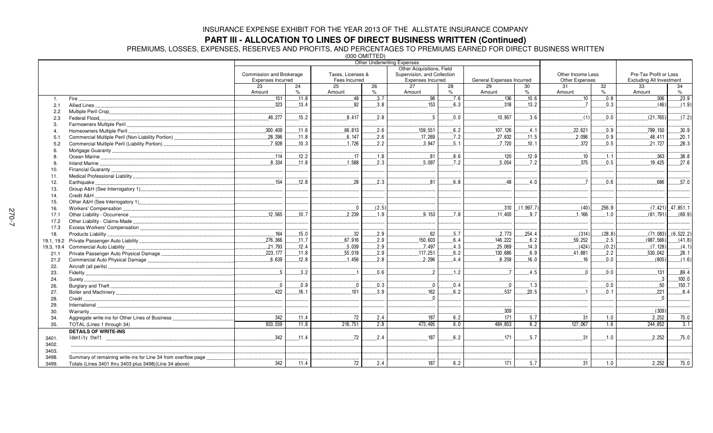### **PART III - ALLOCATION TO LINES OF DIRECT BUSINESS WRITTEN (Continued)**

PREMIUMS, LOSSES, EXPENSES, RESERVES AND PROFITS, AND PERCENTAGES TO PREMIUMS EARNED FOR DIRECT BUSINESS WRITTEN

|            |                                                               |                          |            | , טשר דוויט טטט   |            | <b>Other Underwriting Expenses</b> |                         |                           |            |                   |            |                                 |                        |
|------------|---------------------------------------------------------------|--------------------------|------------|-------------------|------------|------------------------------------|-------------------------|---------------------------|------------|-------------------|------------|---------------------------------|------------------------|
|            |                                                               |                          |            |                   |            | Other Acquisitions, Field          |                         |                           |            |                   |            |                                 |                        |
|            |                                                               | Commission and Brokerage |            | Taxes, Licenses & |            | Supervision, and Collection        |                         |                           |            | Other Income Less |            | Pre-Tax Profit or Loss          |                        |
|            |                                                               | Expenses Incurred        |            | Fees Incurred     |            | Expenses Incurred                  |                         | General Expenses Incurred |            | Other Expenses    |            | <b>Excluding All Investment</b> |                        |
|            |                                                               | 23<br>Amount             | 24<br>$\%$ | 25<br>Amount      | 26<br>$\%$ | 27<br>Amount                       | $\overline{28}$<br>$\%$ | 29<br>Amount              | 30<br>$\%$ | 31<br>Amount      | 32<br>$\%$ | 33<br>Amount                    | 34<br>$\%$             |
| 1.         | Fire.                                                         | 151                      | 11.8       | 48                | 3.7        | $\overline{.98}$                   | 7.6                     | 136                       | 10.6       | .10               | 0.8        | 306                             | .23.9                  |
| 2.1        | Allied Lines                                                  | .323                     | .13.4      | .92               | 3.8        | .153                               | 6.3                     | .318                      | .13.2      | $\overline{7}$    | 0.3        | (46)                            | (1.9)                  |
| 2.2        |                                                               |                          |            |                   |            |                                    |                         |                           |            |                   |            |                                 |                        |
| 2.3        | Federal Flood                                                 | .46,277                  | .15.2      | .8,417            | 2.8        | $\sqrt{5}$                         | 0.0                     | .10,957                   | 3.6        | (1)               | 0.0        | (21, 765)                       | (7.2)                  |
|            |                                                               |                          |            |                   |            |                                    |                         |                           |            |                   |            |                                 |                        |
|            | Homeowners Multiple Peril.                                    | .300,409                 | .11.6      | .66,813           | .2.6       | .159,551                           | 6.2                     | .107, 126                 | .4.1       | .22,621           | 0.9        | .799, 150                       | .30.9                  |
| 5.1        |                                                               | .28,396                  | .11.8      | 6.147             | .2.6       | .17,269                            | .7.2                    | 27,632                    | .11.5      | 2.096             | 0.9        | 48,411                          | .20.1                  |
| 5.2        | Commercial Multiple Peril (Liability Portion)                 | .7,928                   | .10.3      | .1,726            | 2.2        | .3,947                             | .5.1                    | .7,720                    | .10.1      | .372              | .0.5       | .21,727                         | .28.3                  |
|            |                                                               |                          |            |                   |            |                                    |                         |                           |            |                   |            |                                 |                        |
| 8          |                                                               | .114                     | .12.2      | .17               | .1.8       | .81                                | .8.6                    | .120                      | .12.9      | .10               | .1.1       | 363                             | 38.8                   |
| 9          |                                                               | 8.334                    | .11.8      | .1.588            | 2.3        | 5.097                              | .7.2                    | .5,054                    | .7.2       | .375              | .0.5       | 19.425                          | .27.6                  |
| 10.        |                                                               |                          |            |                   |            |                                    |                         |                           |            |                   |            |                                 |                        |
| 11.        |                                                               |                          |            |                   |            |                                    |                         |                           |            |                   |            |                                 |                        |
| 12.        | Earthquake                                                    | 154                      | .12.8      | 28                | 2.3        | 81                                 | .6.8                    | 48                        | 4.0        | $\overline{7}$    | 0.6        | 686                             | .57.0                  |
| 13.        |                                                               |                          |            |                   |            |                                    |                         |                           |            |                   |            |                                 |                        |
| 14.        | Credit A&H                                                    |                          |            |                   |            |                                    |                         |                           |            |                   |            |                                 |                        |
| 15.        |                                                               |                          |            |                   |            |                                    |                         |                           |            |                   |            |                                 |                        |
| 16.        |                                                               |                          |            | $\overline{0}$    | (2.5)      |                                    |                         | .310                      | (1, 997.7) | (40)              | 256.9      |                                 | $(7, 421)$ $47, 851.1$ |
| 17.1       | Other Liability - Occurrence                                  | .12,565                  | .10.7      | .2,239            | .1.9       | .9,153                             | .7.8                    | .11,400                   | .9.7       | .1,166            | 1.0        | (81, 791)                       | (69.9)                 |
| 17.2       | Other Liability - Claims-Made                                 |                          |            |                   |            |                                    |                         |                           |            |                   |            |                                 |                        |
| 17.3       |                                                               |                          |            |                   |            |                                    |                         |                           |            |                   |            |                                 |                        |
| 18.        | Products Liability                                            | 164                      | .15.0      | .32               | .2.9       | .62                                | .5.7                    | 2,773                     | .254.4     | (314)             | (28.8)     | (71,083)                        | (6, 522.2)             |
| 19.1.19.2  |                                                               | .276,366                 | .11.7      | 67.916            | .2.9       | .150,603                           | 6.4                     | .146, 222                 | .6.2       | 59,252            | 2.5        | (987, 566)                      | (41.8)                 |
| 19.3, 19.4 | Commercial Auto Liability                                     | .21,793                  | .12.4      | .5,039            | .2.9       | .7,497                             | .4.3                    | .25,069                   | .14.3      | (424)             | (0.2)      | (7, 128)                        | (4.1)                  |
| 21.1       |                                                               | 223, 177                 | .11.8      | .55,019           | .2.9       | .117,251                           | .6.2                    | .130,686                  | 6.9        | 41.881            | .2.2       | .530,042                        | .28.1                  |
| 21.2       | Commercial Auto Physical Damage                               | 6,639                    | 12.8       | 1.456             | 2.8        | 2,296                              | 4.4                     | 8,258                     | 16.0       | 16                | 0.0        | (805)                           | (1.6)                  |
| 22.        |                                                               |                          |            |                   |            |                                    |                         |                           |            |                   |            |                                 |                        |
| 23.        |                                                               | .5                       | 3.2        |                   | 0.6        | $\overline{2}$                     | 1.2                     | $\overline{7}$            | .4.5       | $0$               | 0.0        | .131                            | .89.4                  |
| 24.        | Surety                                                        |                          |            |                   |            |                                    |                         |                           |            |                   |            |                                 | .100.0                 |
| 26.        |                                                               | $\overline{0}$           | 0.9        | $\Omega$          | 0.3        | $\mathbf{0}$                       | 0.4                     | $\overline{0}$            | 1.3        |                   | 0.0        | 50                              | .150.7                 |
| 27.        |                                                               | 422                      | .16.1      | 101               | .3.9       | .162                               | 6.2                     | .537                      | .20.5      |                   | 0.1        | .221                            | 8.4                    |
| 28.        | Credit.                                                       |                          |            |                   |            |                                    |                         |                           |            |                   |            |                                 |                        |
| 29.        | International                                                 |                          |            |                   |            |                                    |                         |                           |            |                   |            |                                 |                        |
| 30.        | Warranty                                                      |                          |            |                   |            |                                    |                         | .309                      |            |                   |            | (309)                           |                        |
| 34.        | Aggregate write-ins for Other Lines of Business               | 342                      | 11.4       | 72                | 2.4        | 187                                | 6.2                     | 171                       | 5.7        | 31                | 1.0        | 2,252                           | 75.0                   |
| 35.        | TOTAL (Lines 1 through 34)                                    | 933.559                  | 11.8       | 216,751           | 2.8        | 473,495                            | 6.0                     | 484,853                   | 6.2        | 127,067           | 1.6        | 244,852                         | 3.1                    |
|            | <b>DETAILS OF WRITE-INS</b>                                   |                          |            |                   |            |                                    |                         |                           |            |                   |            |                                 |                        |
| 3401.      |                                                               | 342                      | .11.4      | .72               | 2.4        | .187                               | .6.2                    | 171                       | .5.7       | .31               | .1.0       | .2,252                          | .75.0                  |
| 3402.      |                                                               |                          |            |                   |            |                                    |                         |                           |            |                   |            |                                 |                        |
| 3403.      |                                                               |                          |            |                   |            |                                    |                         |                           |            |                   |            |                                 |                        |
| 3498.      | Summary of remaining write-ins for Line 34 from overflow page |                          |            |                   |            |                                    |                         |                           |            |                   |            |                                 |                        |
| 3499.      | Totals (Lines 3401 thru 3403 plus 3498)(Line 34 above)        | 342                      | 11.4       | 72                | 2.4        | 187                                | 6.2                     | 171                       | 5.7        | 31                | 1.0        | 2,252                           | 75.0                   |